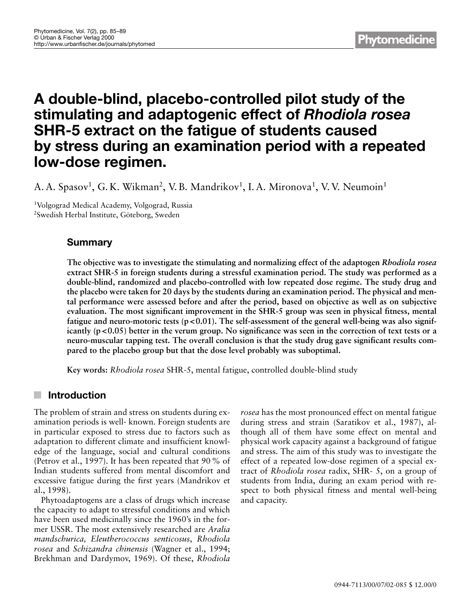# **A double-blind, placebo-controlled pilot study of the stimulating and adaptogenic effect of** *Rhodiola rosea* **SHR-5 extract on the fatigue of students caused by stress during an examination period with a repeated low-dose regimen.**

A. A. Spasov<sup>1</sup>, G. K. Wikman<sup>2</sup>, V. B. Mandrikov<sup>1</sup>, I. A. Mironova<sup>1</sup>, V. V. Neumoin<sup>1</sup>

1Volgograd Medical Academy, Volgograd, Russia 2Swedish Herbal Institute, Göteborg, Sweden

# **Summary**

**The objective was to investigate the stimulating and normalizing effect of the adaptogen** *Rhodiola rosea* **extract SHR-5 in foreign students during a stressful examination period. The study was performed as a double-blind, randomized and placebo-controlled with low repeated dose regime. The study drug and the placebo were taken for 20 days by the students during an examination period. The physical and mental performance were assessed before and after the period, based on objective as well as on subjective evaluation. The most significant improvement in the SHR-5 group was seen in physical fitness, mental fatigue and neuro-motoric tests (p <0.01). The self-assessment of the general well-being was also significantly (p <0.05) better in the verum group. No significance was seen in the correction of text tests or a neuro-muscular tapping test. The overall conclusion is that the study drug gave significant results compared to the placebo group but that the dose level probably was suboptimal.**

**Key words:** *Rhodiola rosea* SHR-5, mental fatigue, controlled double-blind study

# **Introduction**

The problem of strain and stress on students during examination periods is well- known. Foreign students are in particular exposed to stress due to factors such as adaptation to different climate and insufficient knowledge of the language, social and cultural conditions (Petrov et al., 1997). It has been repeated that 90 % of Indian students suffered from mental discomfort and excessive fatigue during the first years (Mandrikov et al., 1998).

Phytoadaptogens are a class of drugs which increase the capacity to adapt to stressful conditions and which have been used medicinally since the 1960's in the former USSR. The most extensively researched are *Aralia mandschurica, Eleutherococcus senticosus*, *Rhodiola rosea* and *Schizandra chinensis* (Wagner et al., 1994; Brekhman and Dardymov, 1969). Of these, *Rhodiola* *rosea* has the most pronounced effect on mental fatigue during stress and strain (Saratikov et al., 1987), although all of them have some effect on mental and physical work capacity against a background of fatigue and stress. The aim of this study was to investigate the effect of a repeated low-dose regimen of a special extract of *Rhodiola rosea* radix, SHR- 5, on a group of students from India, during an exam period with respect to both physical fitness and mental well-being and capacity.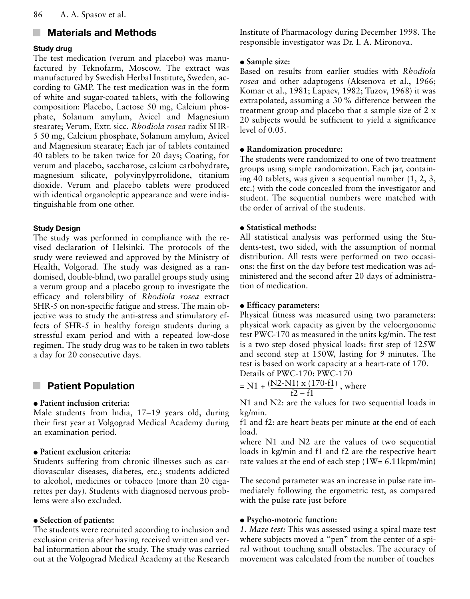#### **Materials and Methods**  $\mathbb{R}^n$

# **Study drug**

The test medication (verum and placebo) was manufactured by Teknofarm, Moscow. The extract was manufactured by Swedish Herbal Institute, Sweden, according to GMP. The test medication was in the form of white and sugar-coated tablets, with the following composition: Placebo, Lactose 50 mg, Calcium phosphate, Solanum amylum, Avicel and Magnesium stearate; Verum, Extr. sicc. *Rhodiola rosea* radix SHR-5 50 mg, Calcium phosphate, Solanum amylum, Avicel and Magnesium stearate; Each jar of tablets contained 40 tablets to be taken twice for 20 days; Coating, for verum and placebo, saccharose, calcium carbohydrate, magnesium silicate, polyvinylpyrrolidone, titanium dioxide. Verum and placebo tablets were produced with identical organoleptic appearance and were indistinguishable from one other.

#### **Study Design**

The study was performed in compliance with the revised declaration of Helsinki. The protocols of the study were reviewed and approved by the Ministry of Health, Volgorad. The study was designed as a randomised, double-blind, two parallel groups study using a verum group and a placebo group to investigate the efficacy and tolerability of *Rhodiola rosea* extract SHR-5 on non-specific fatigue and stress. The main objective was to study the anti-stress and stimulatory effects of SHR-5 in healthy foreign students during a stressful exam period and with a repeated low-dose regimen. The study drug was to be taken in two tablets a day for 20 consecutive days.

#### **Patient Population** ×

### $\bullet$  Patient inclusion criteria:

Male students from India, 17–19 years old, during their first year at Volgograd Medical Academy during an examination period.

### $\bullet$  Patient exclusion criteria:

Students suffering from chronic illnesses such as cardiovascular diseases, diabetes, etc.; students addicted to alcohol, medicines or tobacco (more than 20 cigarettes per day). Students with diagnosed nervous problems were also excluded.

### • Selection of patients:

The students were recruited according to inclusion and exclusion criteria after having received written and verbal information about the study. The study was carried out at the Volgograd Medical Academy at the Research Institute of Pharmacology during December 1998. The responsible investigator was Dr. I. A. Mironova.

### • Sample size:

Based on results from earlier studies with *Rhodiola rosea* and other adaptogens (Aksenova et al., 1966; Komar et al., 1981; Lapaev, 1982; Tuzov, 1968) it was extrapolated, assuming a 30 % difference between the treatment group and placebo that a sample size of 2 x 20 subjects would be sufficient to yield a significance level of 0.05.

# • Randomization procedure:

The students were randomized to one of two treatment groups using simple randomization. Each jar, containing 40 tablets, was given a sequential number (1, 2, 3, etc.) with the code concealed from the investigator and student. The sequential numbers were matched with the order of arrival of the students.

### $\bullet$  **Statistical methods:**

All statistical analysis was performed using the Students-test, two sided, with the assumption of normal distribution. All tests were performed on two occasions: the first on the day before test medication was administered and the second after 20 days of administration of medication.

### $\bullet$  Efficacy parameters:

Physical fitness was measured using two parameters: physical work capacity as given by the veloergonomic test PWC-170 as measured in the units kg/min. The test is a two step dosed physical loads: first step of 125W and second step at 150W, lasting for 9 minutes. The test is based on work capacity at a heart-rate of 170. Details of PWC-170: PWC-170

$$
= N1 + \frac{(N2 - N1) \times (170 - f1)}{f2 - f1}
$$
, where

N1 and N2: are the values for two sequential loads in kg/min.

f1 and f2: are heart beats per minute at the end of each load.

where N1 and N2 are the values of two sequential loads in kg/min and f1 and f2 are the respective heart rate values at the end of each step  $(1W = 6.11kpm/min)$ 

The second parameter was an increase in pulse rate immediately following the ergometric test, as compared with the pulse rate just before

### $\bullet$  Psycho-motoric function:

*1. Maze test:* This was assessed using a spiral maze test where subjects moved a "pen" from the center of a spiral without touching small obstacles. The accuracy of movement was calculated from the number of touches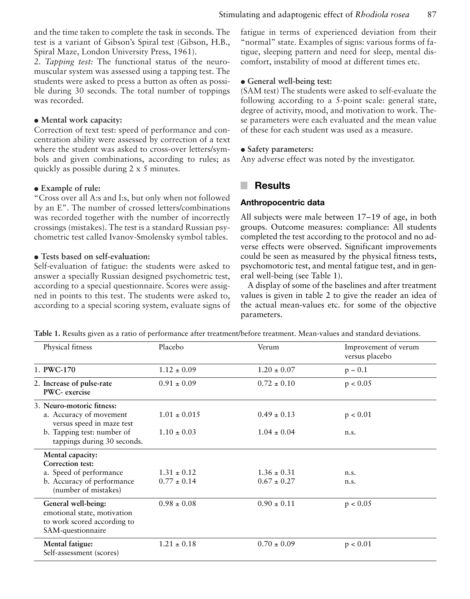and the time taken to complete the task in seconds. The test is a variant of Gibson's Spiral test (Gibson, H.B., Spiral Maze, London University Press, 1961).

*2. Tapping test:* The functional status of the neuromuscular system was assessed using a tapping test. The students were asked to press a button as often as possible during 30 seconds. The total number of toppings was recorded.

#### $\bullet$  Mental work capacity:

Correction of text test: speed of performance and concentration ability were assessed by correction of a text where the student was asked to cross-over letters/symbols and given combinations, according to rules; as quickly as possible during 2 x 5 minutes.

#### $\bullet$  Example of rule:

"Cross over all A:s and I:s, but only when not followed by an E". The number of crossed letters/combinations was recorded together with the number of incorrectly crossings (mistakes). The test is a standard Russian psychometric test called Ivanov-Smolensky symbol tables.

#### $\bullet$  Tests based on self-evaluation:

Self-evaluation of fatigue: the students were asked to answer a specially Russian designed psychometric test, according to a special questionnaire. Scores were assigned in points to this test. The students were asked to, according to a special scoring system, evaluate signs of

fatigue in terms of experienced deviation from their "normal" state. Examples of signs: various forms of fatigue, sleeping pattern and need for sleep, mental discomfort, instability of mood at different times etc.

#### $\bullet$  General well-being test:

(SAM test) The students were asked to self-evaluate the following according to a 5-point scale: general state, degree of activity, mood, and motivation to work. These parameters were each evaluated and the mean value of these for each student was used as a measure.

#### • Safety parameters:

Any adverse effect was noted by the investigator.

#### **Results** a.

#### **Anthropocentric data**

All subjects were male between 17–19 of age, in both groups. Outcome measures: compliance: All students completed the test according to the protocol and no adverse effects were observed. Significant improvements could be seen as measured by the physical fitness tests, psychomotoric test, and mental fatigue test, and in general well-being (see Table 1).

A display of some of the baselines and after treatment values is given in table 2 to give the reader an idea of the actual mean-values etc. for some of the objective parameters.

**Table 1.** Results given as a ratio of performance after treatment/before treatment. Mean-values and standard deviations.

| Physical fitness                                                                                                                               | Placebo                             | Verum                              | Improvement of verum<br>versus placebo |
|------------------------------------------------------------------------------------------------------------------------------------------------|-------------------------------------|------------------------------------|----------------------------------------|
| 1. PWC-170                                                                                                                                     | $1.12 \pm 0.09$                     | $1.20 \pm 0.07$                    | $p \sim 0.1$                           |
| 2. Increase of pulse-rate<br>PWC- exercise                                                                                                     | $0.91 \pm 0.09$                     | $0.72 \pm 0.10$                    | p < 0.05                               |
| 3. Neuro-motoric fitness:<br>a. Accuracy of movement<br>versus speed in maze test<br>b. Tapping test: number of<br>tappings during 30 seconds. | $1.01 \pm 0.015$<br>$1.10 \pm 0.03$ | $0.49 \pm 0.13$<br>$1.04 \pm 0.04$ | p < 0.01<br>n.s.                       |
| Mental capacity:<br>Correction test:<br>a. Speed of performance<br>b. Accuracy of performance<br>(number of mistakes)                          | $1.31 \pm 0.12$<br>$0.77 \pm 0.14$  | $1.36 \pm 0.31$<br>$0.67 \pm 0.27$ | n.s.<br>n.s.                           |
| General well-being:<br>emotional state, motivation<br>to work scored according to<br>SAM-questionnaire                                         | $0.98 \pm 0.08$                     | $0.90 \pm 0.11$                    | p < 0.05                               |
| Mental fatigue:<br>Self-assessment (scores)                                                                                                    | $1.21 \pm 0.18$                     | $0.70 \pm 0.09$                    | p < 0.01                               |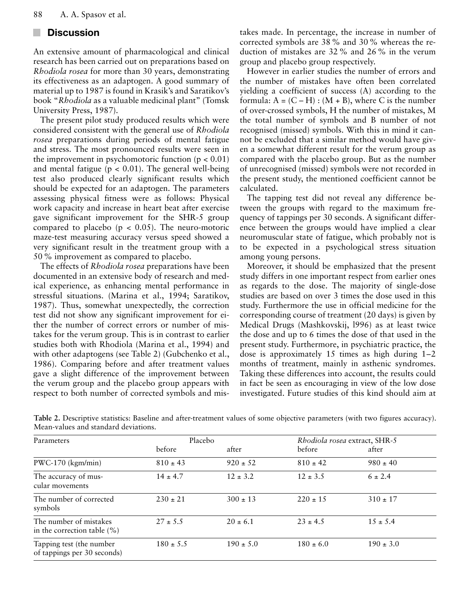#### **Discussion** a s

An extensive amount of pharmacological and clinical research has been carried out on preparations based on *Rhodiola rosea* for more than 30 years, demonstrating its effectiveness as an adaptogen. A good summary of material up to 1987 is found in Krasik's and Saratikov's book "*Rhodiola* as a valuable medicinal plant" (Tomsk University Press, 1987).

The present pilot study produced results which were considered consistent with the general use of *Rhodiola rosea* preparations during periods of mental fatigue and stress. The most pronounced results were seen in the improvement in psychomotoric function  $(p < 0.01)$ and mental fatigue ( $p < 0.01$ ). The general well-being test also produced clearly significant results which should be expected for an adaptogen. The parameters assessing physical fitness were as follows: Physical work capacity and increase in heart beat after exercise gave significant improvement for the SHR-5 group compared to placebo ( $p < 0.05$ ). The neuro-motoric maze-test measuring accuracy versus speed showed a very significant result in the treatment group with a 50 % improvement as compared to placebo.

The effects of *Rhodiola rosea* preparations have been documented in an extensive body of research and medical experience, as enhancing mental performance in stressful situations. (Marina et al., 1994; Saratikov, 1987). Thus, somewhat unexpectedly, the correction test did not show any significant improvement for either the number of correct errors or number of mistakes for the verum group. This is in contrast to earlier studies both with Rhodiola (Marina et al., 1994) and with other adaptogens (see Table 2) (Gubchenko et al., 1986). Comparing before and after treatment values gave a slight difference of the improvement between the verum group and the placebo group appears with respect to both number of corrected symbols and mistakes made. In percentage, the increase in number of corrected symbols are 38 % and 30 % whereas the reduction of mistakes are 32 % and 26 % in the verum group and placebo group respectively.

However in earlier studies the number of errors and the number of mistakes have often been correlated yielding a coefficient of success (A) according to the formula:  $A = (C - H) : (M + B)$ , where C is the number of over-crossed symbols, H the number of mistakes, M the total number of symbols and B number of not recognised (missed) symbols. With this in mind it cannot be excluded that a similar method would have given a somewhat different result for the verum group as compared with the placebo group. But as the number of unrecognised (missed) symbols were not recorded in the present study, the mentioned coefficient cannot be calculated.

The tapping test did not reveal any difference between the groups with regard to the maximum frequency of tappings per 30 seconds. A significant difference between the groups would have implied a clear neuromuscular state of fatigue, which probably not is to be expected in a psychological stress situation among young persons.

Moreover, it should be emphasized that the present study differs in one important respect from earlier ones as regards to the dose. The majority of single-dose studies are based on over 3 times the dose used in this study. Furthermore the use in official medicine for the corresponding course of treatment (20 days) is given by Medical Drugs (Mashkovskij, l996) as at least twice the dose and up to 6 times the dose of that used in the present study. Furthermore, in psychiatric practice, the dose is approximately 15 times as high during 1–2 months of treatment, mainly in asthenic syndromes. Taking these differences into account, the results could in fact be seen as encouraging in view of the low dose investigated. Future studies of this kind should aim at

| Parameters                                                | Placebo       |               | Rhodiola rosea extract, SHR-5 |               |
|-----------------------------------------------------------|---------------|---------------|-------------------------------|---------------|
|                                                           | before        | after         | before                        | after         |
| PWC-170 (kgm/min)                                         | $810 \pm 43$  | $920 \pm 52$  | $810 \pm 42$                  | $980 \pm 40$  |
| The accuracy of mus-<br>cular movements                   | $14 \pm 4.7$  | $12 \pm 3.2$  | $12 \pm 3.5$                  | $6 \pm 2.4$   |
| The number of corrected<br>symbols                        | $230 \pm 21$  | $300 \pm 13$  | $220 \pm 15$                  | $310 \pm 17$  |
| The number of mistakes<br>in the correction table $(\% )$ | $27 + 5.5$    | $20 + 6.1$    | $23 + 4.5$                    | $1.5 \pm 5.4$ |
| Tapping test (the number<br>of tappings per 30 seconds)   | $180 \pm 5.5$ | $190 \pm 5.0$ | $180 \pm 6.0$                 | $190 \pm 3.0$ |

**Table 2.** Descriptive statistics: Baseline and after-treatment values of some objective parameters (with two figures accuracy). Mean-values and standard deviations.